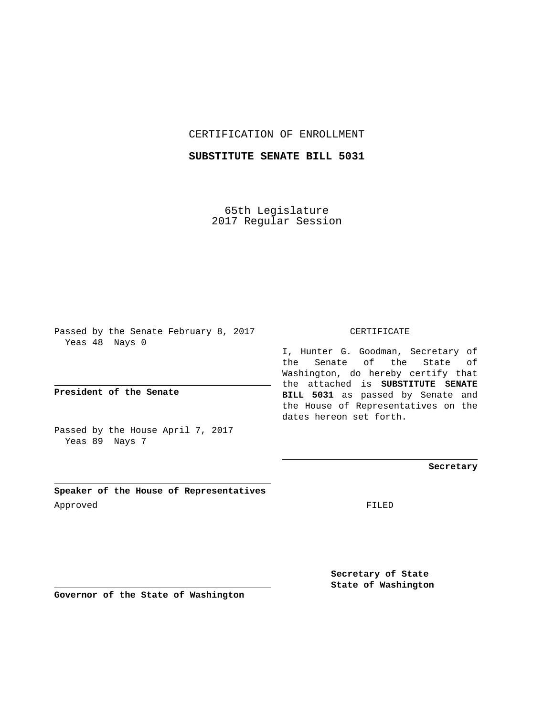## CERTIFICATION OF ENROLLMENT

## **SUBSTITUTE SENATE BILL 5031**

65th Legislature 2017 Regular Session

Passed by the Senate February 8, 2017 Yeas 48 Nays 0

**President of the Senate**

Passed by the House April 7, 2017 Yeas 89 Nays 7

**Speaker of the House of Representatives** Approved FILED

## CERTIFICATE

I, Hunter G. Goodman, Secretary of the Senate of the State of Washington, do hereby certify that the attached is **SUBSTITUTE SENATE BILL 5031** as passed by Senate and the House of Representatives on the dates hereon set forth.

**Secretary**

**Secretary of State State of Washington**

**Governor of the State of Washington**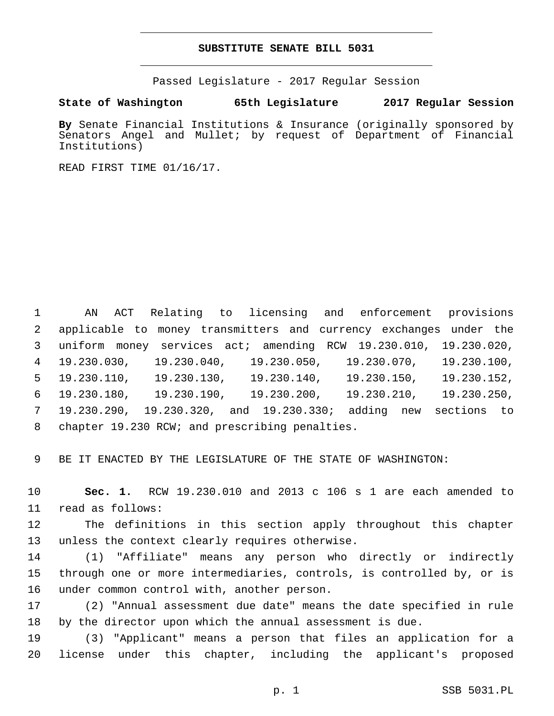## **SUBSTITUTE SENATE BILL 5031**

Passed Legislature - 2017 Regular Session

**State of Washington 65th Legislature 2017 Regular Session**

**By** Senate Financial Institutions & Insurance (originally sponsored by Senators Angel and Mullet; by request of Department of Financial Institutions)

READ FIRST TIME 01/16/17.

 AN ACT Relating to licensing and enforcement provisions applicable to money transmitters and currency exchanges under the uniform money services act; amending RCW 19.230.010, 19.230.020, 19.230.030, 19.230.040, 19.230.050, 19.230.070, 19.230.100, 19.230.110, 19.230.130, 19.230.140, 19.230.150, 19.230.152, 19.230.180, 19.230.190, 19.230.200, 19.230.210, 19.230.250, 19.230.290, 19.230.320, and 19.230.330; adding new sections to 8 chapter 19.230 RCW; and prescribing penalties.

9 BE IT ENACTED BY THE LEGISLATURE OF THE STATE OF WASHINGTON:

10 **Sec. 1.** RCW 19.230.010 and 2013 c 106 s 1 are each amended to 11 read as follows:

12 The definitions in this section apply throughout this chapter 13 unless the context clearly requires otherwise.

14 (1) "Affiliate" means any person who directly or indirectly 15 through one or more intermediaries, controls, is controlled by, or is 16 under common control with, another person.

17 (2) "Annual assessment due date" means the date specified in rule 18 by the director upon which the annual assessment is due.

19 (3) "Applicant" means a person that files an application for a 20 license under this chapter, including the applicant's proposed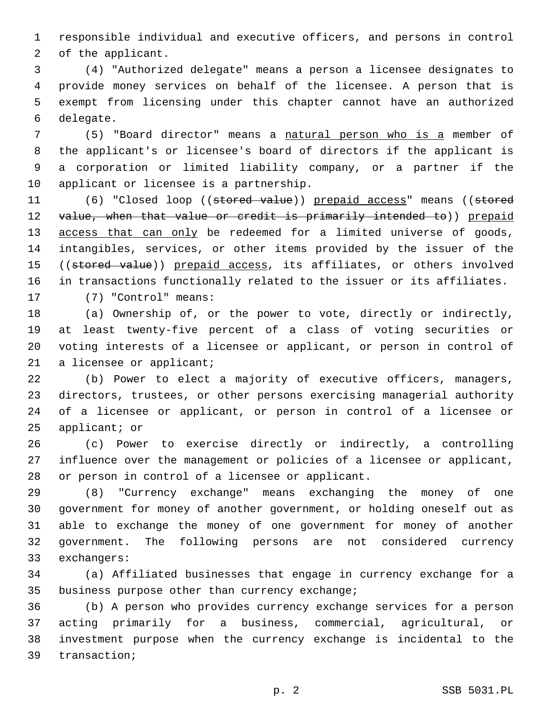responsible individual and executive officers, and persons in control 2 of the applicant.

 (4) "Authorized delegate" means a person a licensee designates to provide money services on behalf of the licensee. A person that is exempt from licensing under this chapter cannot have an authorized 6 delegate.

 (5) "Board director" means a natural person who is a member of the applicant's or licensee's board of directors if the applicant is a corporation or limited liability company, or a partner if the 10 applicant or licensee is a partnership.

11 (6) "Closed loop ((stored value)) prepaid access" means ((stored 12 value, when that value or credit is primarily intended to)) prepaid 13 access that can only be redeemed for a limited universe of goods, intangibles, services, or other items provided by the issuer of the 15 ((stored value)) prepaid access, its affiliates, or others involved in transactions functionally related to the issuer or its affiliates. 17 (7) "Control" means:

 (a) Ownership of, or the power to vote, directly or indirectly, at least twenty-five percent of a class of voting securities or voting interests of a licensee or applicant, or person in control of

21 a licensee or applicant;

 (b) Power to elect a majority of executive officers, managers, directors, trustees, or other persons exercising managerial authority of a licensee or applicant, or person in control of a licensee or applicant; or

 (c) Power to exercise directly or indirectly, a controlling influence over the management or policies of a licensee or applicant, 28 or person in control of a licensee or applicant.

 (8) "Currency exchange" means exchanging the money of one government for money of another government, or holding oneself out as able to exchange the money of one government for money of another government. The following persons are not considered currency 33 exchangers:

 (a) Affiliated businesses that engage in currency exchange for a 35 business purpose other than currency exchange;

 (b) A person who provides currency exchange services for a person acting primarily for a business, commercial, agricultural, or investment purpose when the currency exchange is incidental to the 39 transaction;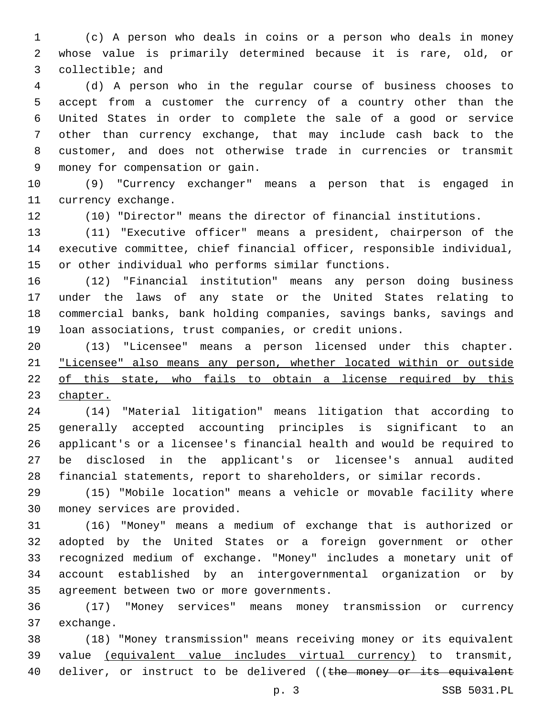(c) A person who deals in coins or a person who deals in money whose value is primarily determined because it is rare, old, or 3 collectible; and

 (d) A person who in the regular course of business chooses to accept from a customer the currency of a country other than the United States in order to complete the sale of a good or service other than currency exchange, that may include cash back to the customer, and does not otherwise trade in currencies or transmit money for compensation or gain.9

 (9) "Currency exchanger" means a person that is engaged in 11 currency exchange.

(10) "Director" means the director of financial institutions.

 (11) "Executive officer" means a president, chairperson of the executive committee, chief financial officer, responsible individual, or other individual who performs similar functions.

 (12) "Financial institution" means any person doing business under the laws of any state or the United States relating to commercial banks, bank holding companies, savings banks, savings and loan associations, trust companies, or credit unions.

 (13) "Licensee" means a person licensed under this chapter. "Licensee" also means any person, whether located within or outside of this state, who fails to obtain a license required by this chapter.

 (14) "Material litigation" means litigation that according to generally accepted accounting principles is significant to an applicant's or a licensee's financial health and would be required to be disclosed in the applicant's or licensee's annual audited financial statements, report to shareholders, or similar records.

 (15) "Mobile location" means a vehicle or movable facility where 30 money services are provided.

 (16) "Money" means a medium of exchange that is authorized or adopted by the United States or a foreign government or other recognized medium of exchange. "Money" includes a monetary unit of account established by an intergovernmental organization or by 35 agreement between two or more governments.

 (17) "Money services" means money transmission or currency 37 exchange.

 (18) "Money transmission" means receiving money or its equivalent value (equivalent value includes virtual currency) to transmit, 40 deliver, or instruct to be delivered ((the money or its equivalent

p. 3 SSB 5031.PL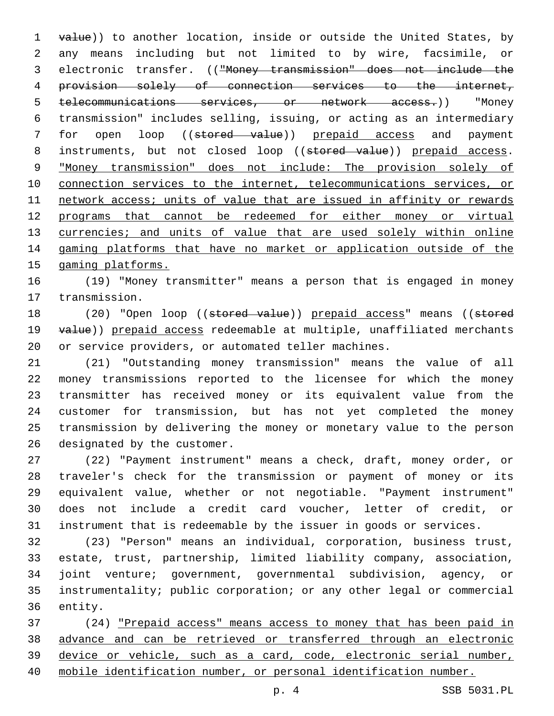1 value)) to another location, inside or outside the United States, by any means including but not limited to by wire, facsimile, or electronic transfer. (("Money transmission" does not include the provision solely of connection services to the internet, telecommunications services, or network access.)) "Money transmission" includes selling, issuing, or acting as an intermediary 7 for open loop ((stored value)) prepaid access and payment 8 instruments, but not closed loop ((stored value)) prepaid access. "Money transmission" does not include: The provision solely of connection services to the internet, telecommunications services, or network access; units of value that are issued in affinity or rewards programs that cannot be redeemed for either money or virtual 13 currencies; and units of value that are used solely within online gaming platforms that have no market or application outside of the gaming platforms.

 (19) "Money transmitter" means a person that is engaged in money 17 transmission.

18 (20) "Open loop ((stored value)) prepaid access" means ((stored 19 value)) prepaid access redeemable at multiple, unaffiliated merchants or service providers, or automated teller machines.

 (21) "Outstanding money transmission" means the value of all money transmissions reported to the licensee for which the money transmitter has received money or its equivalent value from the customer for transmission, but has not yet completed the money transmission by delivering the money or monetary value to the person 26 designated by the customer.

 (22) "Payment instrument" means a check, draft, money order, or traveler's check for the transmission or payment of money or its equivalent value, whether or not negotiable. "Payment instrument" does not include a credit card voucher, letter of credit, or instrument that is redeemable by the issuer in goods or services.

 (23) "Person" means an individual, corporation, business trust, estate, trust, partnership, limited liability company, association, joint venture; government, governmental subdivision, agency, or instrumentality; public corporation; or any other legal or commercial 36 entity.

 (24) "Prepaid access" means access to money that has been paid in advance and can be retrieved or transferred through an electronic device or vehicle, such as a card, code, electronic serial number, mobile identification number, or personal identification number.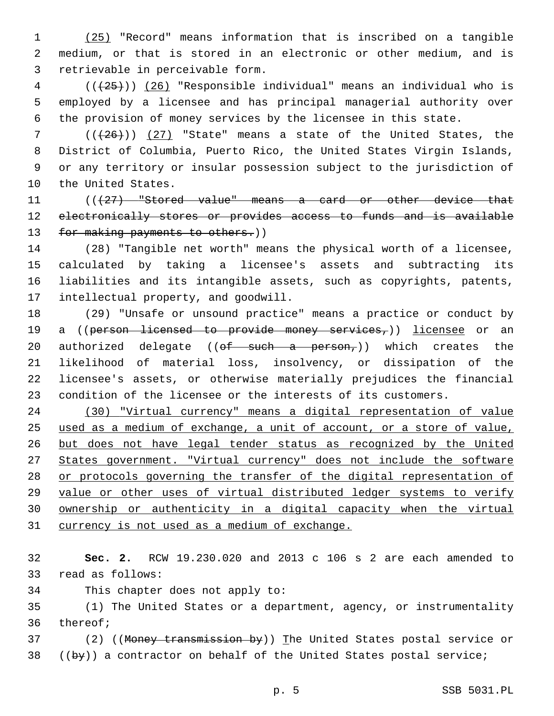(25) "Record" means information that is inscribed on a tangible medium, or that is stored in an electronic or other medium, and is 3 retrievable in perceivable form.

 ( $(\overline{25})$ ) (26) "Responsible individual" means an individual who is employed by a licensee and has principal managerial authority over the provision of money services by the licensee in this state.

 $((+26))$  (27) "State" means a state of the United States, the District of Columbia, Puerto Rico, the United States Virgin Islands, or any territory or insular possession subject to the jurisdiction of 10 the United States.

11 (((427) "Stored value" means a card or other device that electronically stores or provides access to funds and is available 13 for making payments to others.))

 (28) "Tangible net worth" means the physical worth of a licensee, calculated by taking a licensee's assets and subtracting its liabilities and its intangible assets, such as copyrights, patents, 17 intellectual property, and goodwill.

 (29) "Unsafe or unsound practice" means a practice or conduct by 19 a ((person licensed to provide money services,)) licensee or an 20 authorized delegate (( $\theta f$  such a person,)) which creates the likelihood of material loss, insolvency, or dissipation of the licensee's assets, or otherwise materially prejudices the financial condition of the licensee or the interests of its customers.

 (30) "Virtual currency" means a digital representation of value used as a medium of exchange, a unit of account, or a store of value, but does not have legal tender status as recognized by the United States government. "Virtual currency" does not include the software or protocols governing the transfer of the digital representation of value or other uses of virtual distributed ledger systems to verify ownership or authenticity in a digital capacity when the virtual 31 currency is not used as a medium of exchange.

 **Sec. 2.** RCW 19.230.020 and 2013 c 106 s 2 are each amended to 33 read as follows:

34 This chapter does not apply to:

 (1) The United States or a department, agency, or instrumentality 36 thereof;

37 (2) ((Money transmission by)) The United States postal service or ((by)) a contractor on behalf of the United States postal service;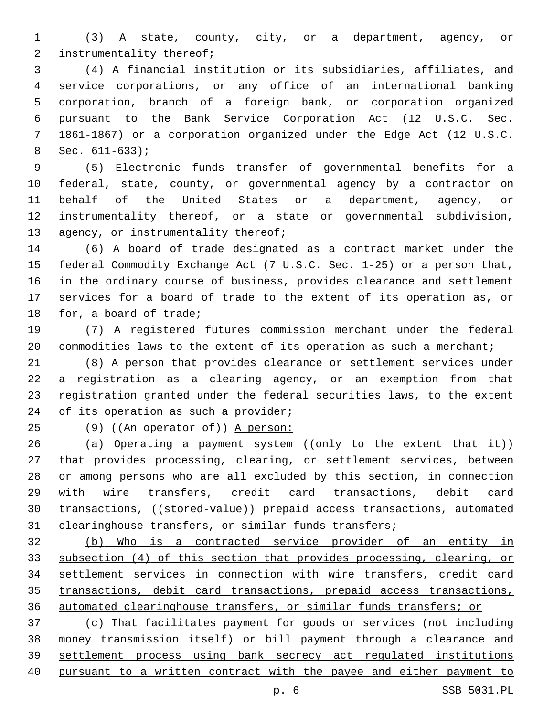(3) A state, county, city, or a department, agency, or 2 instrumentality thereof;

 (4) A financial institution or its subsidiaries, affiliates, and service corporations, or any office of an international banking corporation, branch of a foreign bank, or corporation organized pursuant to the Bank Service Corporation Act (12 U.S.C. Sec. 1861-1867) or a corporation organized under the Edge Act (12 U.S.C. Sec.  $611-633$ ;

 (5) Electronic funds transfer of governmental benefits for a federal, state, county, or governmental agency by a contractor on behalf of the United States or a department, agency, or instrumentality thereof, or a state or governmental subdivision, 13 agency, or instrumentality thereof;

 (6) A board of trade designated as a contract market under the federal Commodity Exchange Act (7 U.S.C. Sec. 1-25) or a person that, in the ordinary course of business, provides clearance and settlement services for a board of trade to the extent of its operation as, or 18 for, a board of trade;

 (7) A registered futures commission merchant under the federal 20 commodities laws to the extent of its operation as such a merchant;

 (8) A person that provides clearance or settlement services under a registration as a clearing agency, or an exemption from that registration granted under the federal securities laws, to the extent 24 of its operation as such a provider;

25 (9) ((An operator of)) A person:

26 (a) Operating a payment system ((only to the extent that it)) 27 that provides processing, clearing, or settlement services, between or among persons who are all excluded by this section, in connection with wire transfers, credit card transactions, debit card 30 transactions, ((stored-value)) prepaid access transactions, automated clearinghouse transfers, or similar funds transfers;

 (b) Who is a contracted service provider of an entity in subsection (4) of this section that provides processing, clearing, or settlement services in connection with wire transfers, credit card transactions, debit card transactions, prepaid access transactions, automated clearinghouse transfers, or similar funds transfers; or

 (c) That facilitates payment for goods or services (not including money transmission itself) or bill payment through a clearance and settlement process using bank secrecy act regulated institutions pursuant to a written contract with the payee and either payment to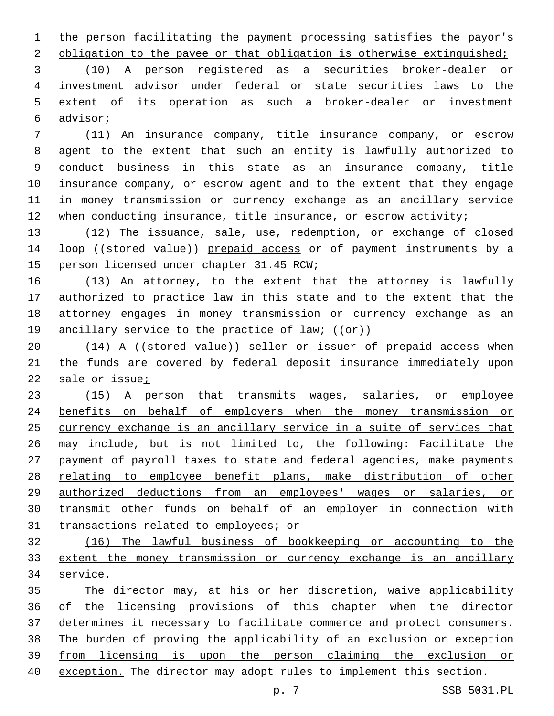1 the person facilitating the payment processing satisfies the payor's

2 obligation to the payee or that obligation is otherwise extinguished;

 (10) A person registered as a securities broker-dealer or investment advisor under federal or state securities laws to the extent of its operation as such a broker-dealer or investment advisor;6

 (11) An insurance company, title insurance company, or escrow agent to the extent that such an entity is lawfully authorized to conduct business in this state as an insurance company, title insurance company, or escrow agent and to the extent that they engage in money transmission or currency exchange as an ancillary service 12 when conducting insurance, title insurance, or escrow activity;

 (12) The issuance, sale, use, redemption, or exchange of closed 14 loop ((stored value)) prepaid access or of payment instruments by a 15 person licensed under chapter 31.45 RCW;

 (13) An attorney, to the extent that the attorney is lawfully authorized to practice law in this state and to the extent that the attorney engages in money transmission or currency exchange as an 19 ancillary service to the practice of law;  $((\theta \cdot \hat{r}))$ 

20 (14) A ((stored value)) seller or issuer of prepaid access when the funds are covered by federal deposit insurance immediately upon 22 sale or issue<sub>i</sub>

 (15) A person that transmits wages, salaries, or employee benefits on behalf of employers when the money transmission or currency exchange is an ancillary service in a suite of services that may include, but is not limited to, the following: Facilitate the payment of payroll taxes to state and federal agencies, make payments relating to employee benefit plans, make distribution of other authorized deductions from an employees' wages or salaries, or transmit other funds on behalf of an employer in connection with transactions related to employees; or

 (16) The lawful business of bookkeeping or accounting to the extent the money transmission or currency exchange is an ancillary 34 service.

 The director may, at his or her discretion, waive applicability of the licensing provisions of this chapter when the director determines it necessary to facilitate commerce and protect consumers. The burden of proving the applicability of an exclusion or exception from licensing is upon the person claiming the exclusion or exception. The director may adopt rules to implement this section.

p. 7 SSB 5031.PL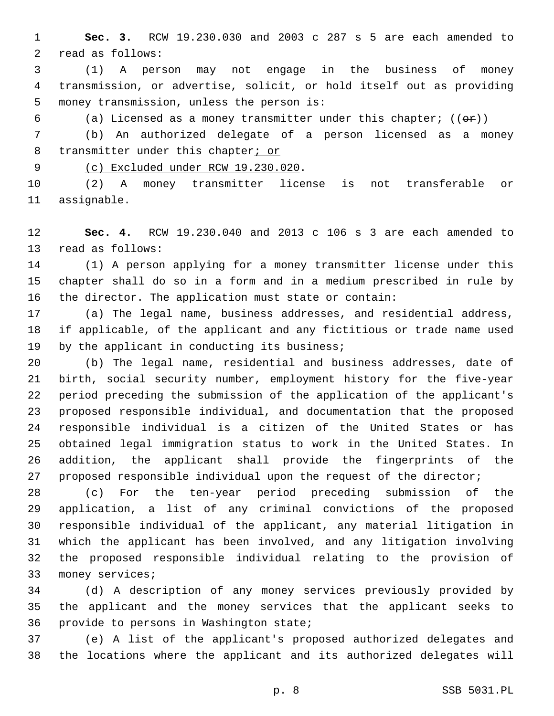**Sec. 3.** RCW 19.230.030 and 2003 c 287 s 5 are each amended to 2 read as follows:

 (1) A person may not engage in the business of money transmission, or advertise, solicit, or hold itself out as providing 5 money transmission, unless the person is:

6 (a) Licensed as a money transmitter under this chapter;  $((\theta \cdot \hat{r}))$ 

 (b) An authorized delegate of a person licensed as a money 8 transmitter under this chapter; or

9 (c) Excluded under RCW 19.230.020.

 (2) A money transmitter license is not transferable or 11 assignable.

 **Sec. 4.** RCW 19.230.040 and 2013 c 106 s 3 are each amended to 13 read as follows:

 (1) A person applying for a money transmitter license under this chapter shall do so in a form and in a medium prescribed in rule by the director. The application must state or contain:

 (a) The legal name, business addresses, and residential address, if applicable, of the applicant and any fictitious or trade name used 19 by the applicant in conducting its business;

 (b) The legal name, residential and business addresses, date of birth, social security number, employment history for the five-year period preceding the submission of the application of the applicant's proposed responsible individual, and documentation that the proposed responsible individual is a citizen of the United States or has obtained legal immigration status to work in the United States. In addition, the applicant shall provide the fingerprints of the 27 proposed responsible individual upon the request of the director;

 (c) For the ten-year period preceding submission of the application, a list of any criminal convictions of the proposed responsible individual of the applicant, any material litigation in which the applicant has been involved, and any litigation involving the proposed responsible individual relating to the provision of 33 money services;

 (d) A description of any money services previously provided by the applicant and the money services that the applicant seeks to 36 provide to persons in Washington state;

 (e) A list of the applicant's proposed authorized delegates and the locations where the applicant and its authorized delegates will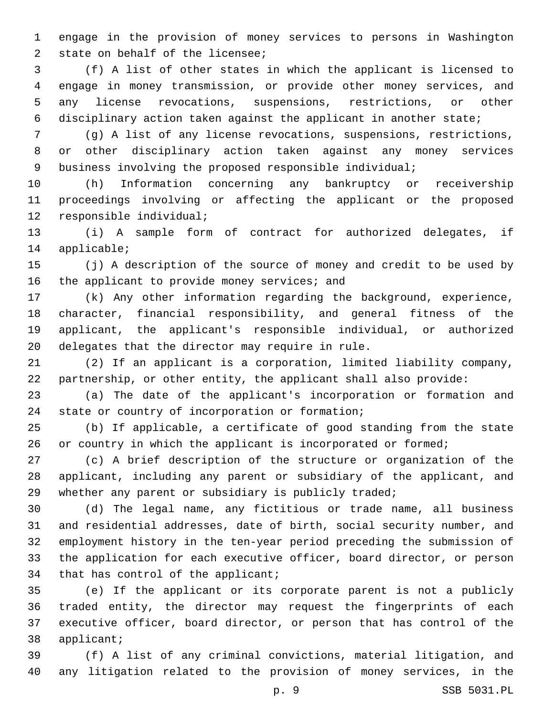engage in the provision of money services to persons in Washington 2 state on behalf of the licensee;

 (f) A list of other states in which the applicant is licensed to engage in money transmission, or provide other money services, and any license revocations, suspensions, restrictions, or other disciplinary action taken against the applicant in another state;

 (g) A list of any license revocations, suspensions, restrictions, or other disciplinary action taken against any money services business involving the proposed responsible individual;

 (h) Information concerning any bankruptcy or receivership proceedings involving or affecting the applicant or the proposed 12 responsible individual;

 (i) A sample form of contract for authorized delegates, if 14 applicable;

 (j) A description of the source of money and credit to be used by 16 the applicant to provide money services; and

 (k) Any other information regarding the background, experience, character, financial responsibility, and general fitness of the applicant, the applicant's responsible individual, or authorized 20 delegates that the director may require in rule.

 (2) If an applicant is a corporation, limited liability company, partnership, or other entity, the applicant shall also provide:

 (a) The date of the applicant's incorporation or formation and 24 state or country of incorporation or formation;

 (b) If applicable, a certificate of good standing from the state 26 or country in which the applicant is incorporated or formed;

 (c) A brief description of the structure or organization of the applicant, including any parent or subsidiary of the applicant, and 29 whether any parent or subsidiary is publicly traded;

 (d) The legal name, any fictitious or trade name, all business and residential addresses, date of birth, social security number, and employment history in the ten-year period preceding the submission of the application for each executive officer, board director, or person 34 that has control of the applicant;

 (e) If the applicant or its corporate parent is not a publicly traded entity, the director may request the fingerprints of each executive officer, board director, or person that has control of the 38 applicant;

 (f) A list of any criminal convictions, material litigation, and any litigation related to the provision of money services, in the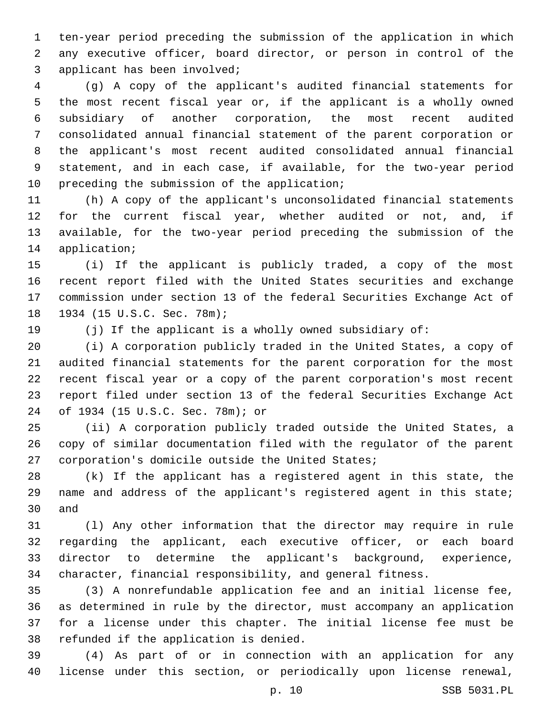ten-year period preceding the submission of the application in which any executive officer, board director, or person in control of the 3 applicant has been involved;

 (g) A copy of the applicant's audited financial statements for the most recent fiscal year or, if the applicant is a wholly owned subsidiary of another corporation, the most recent audited consolidated annual financial statement of the parent corporation or the applicant's most recent audited consolidated annual financial statement, and in each case, if available, for the two-year period 10 preceding the submission of the application;

 (h) A copy of the applicant's unconsolidated financial statements for the current fiscal year, whether audited or not, and, if available, for the two-year period preceding the submission of the 14 application;

 (i) If the applicant is publicly traded, a copy of the most recent report filed with the United States securities and exchange commission under section 13 of the federal Securities Exchange Act of 18 1934 (15 U.S.C. Sec. 78m);

(j) If the applicant is a wholly owned subsidiary of:

 (i) A corporation publicly traded in the United States, a copy of audited financial statements for the parent corporation for the most recent fiscal year or a copy of the parent corporation's most recent report filed under section 13 of the federal Securities Exchange Act of 1934 (15 U.S.C. Sec. 78m); or24

 (ii) A corporation publicly traded outside the United States, a copy of similar documentation filed with the regulator of the parent 27 corporation's domicile outside the United States;

 (k) If the applicant has a registered agent in this state, the 29 name and address of the applicant's registered agent in this state; 30 and

 (l) Any other information that the director may require in rule regarding the applicant, each executive officer, or each board director to determine the applicant's background, experience, character, financial responsibility, and general fitness.

 (3) A nonrefundable application fee and an initial license fee, as determined in rule by the director, must accompany an application for a license under this chapter. The initial license fee must be 38 refunded if the application is denied.

 (4) As part of or in connection with an application for any license under this section, or periodically upon license renewal,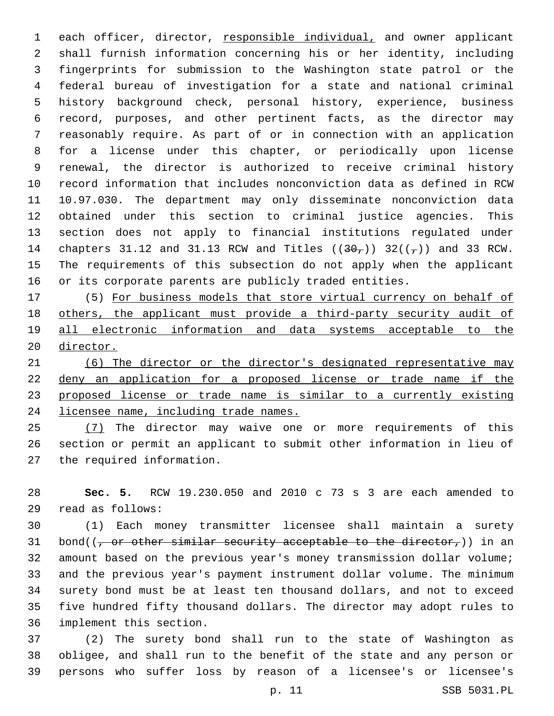each officer, director, responsible individual, and owner applicant shall furnish information concerning his or her identity, including fingerprints for submission to the Washington state patrol or the federal bureau of investigation for a state and national criminal history background check, personal history, experience, business record, purposes, and other pertinent facts, as the director may reasonably require. As part of or in connection with an application for a license under this chapter, or periodically upon license renewal, the director is authorized to receive criminal history record information that includes nonconviction data as defined in RCW 10.97.030. The department may only disseminate nonconviction data obtained under this section to criminal justice agencies. This section does not apply to financial institutions regulated under 14 chapters 31.12 and 31.13 RCW and Titles  $((30<sub>7</sub>))$  32( $(\frac{1}{7})$ ) and 33 RCW. The requirements of this subsection do not apply when the applicant or its corporate parents are publicly traded entities.

 (5) For business models that store virtual currency on behalf of others, the applicant must provide a third-party security audit of all electronic information and data systems acceptable to the director.

 (6) The director or the director's designated representative may deny an application for a proposed license or trade name if the proposed license or trade name is similar to a currently existing licensee name, including trade names.

25 (7) The director may waive one or more requirements of this section or permit an applicant to submit other information in lieu of 27 the required information.

 **Sec. 5.** RCW 19.230.050 and 2010 c 73 s 3 are each amended to read as follows:29

 (1) Each money transmitter licensee shall maintain a surety 31 bond( $(-$  or other similar security acceptable to the director,)) in an amount based on the previous year's money transmission dollar volume; and the previous year's payment instrument dollar volume. The minimum surety bond must be at least ten thousand dollars, and not to exceed five hundred fifty thousand dollars. The director may adopt rules to 36 implement this section.

 (2) The surety bond shall run to the state of Washington as obligee, and shall run to the benefit of the state and any person or persons who suffer loss by reason of a licensee's or licensee's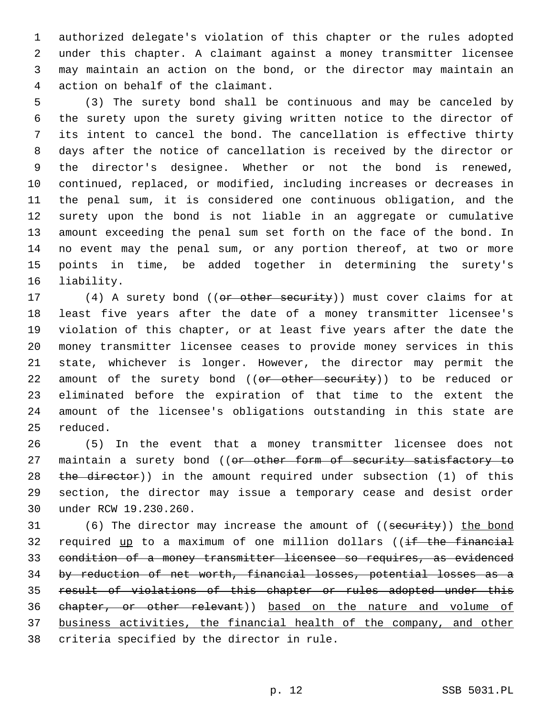authorized delegate's violation of this chapter or the rules adopted under this chapter. A claimant against a money transmitter licensee may maintain an action on the bond, or the director may maintain an 4 action on behalf of the claimant.

 (3) The surety bond shall be continuous and may be canceled by the surety upon the surety giving written notice to the director of its intent to cancel the bond. The cancellation is effective thirty days after the notice of cancellation is received by the director or the director's designee. Whether or not the bond is renewed, continued, replaced, or modified, including increases or decreases in the penal sum, it is considered one continuous obligation, and the surety upon the bond is not liable in an aggregate or cumulative amount exceeding the penal sum set forth on the face of the bond. In no event may the penal sum, or any portion thereof, at two or more points in time, be added together in determining the surety's 16 liability.

17 (4) A surety bond ((or other security)) must cover claims for at least five years after the date of a money transmitter licensee's violation of this chapter, or at least five years after the date the money transmitter licensee ceases to provide money services in this state, whichever is longer. However, the director may permit the 22 amount of the surety bond ((or other security)) to be reduced or eliminated before the expiration of that time to the extent the amount of the licensee's obligations outstanding in this state are 25 reduced.

 (5) In the event that a money transmitter licensee does not 27 maintain a surety bond ((or other form of security satisfactory to 28 the director)) in the amount required under subsection (1) of this section, the director may issue a temporary cease and desist order 30 under RCW 19.230.260.

31 (6) The director may increase the amount of ((security)) the bond 32 required up to a maximum of one million dollars ((if the financial condition of a money transmitter licensee so requires, as evidenced by reduction of net worth, financial losses, potential losses as a result of violations of this chapter or rules adopted under this chapter, or other relevant)) based on the nature and volume of business activities, the financial health of the company, and other 38 criteria specified by the director in rule.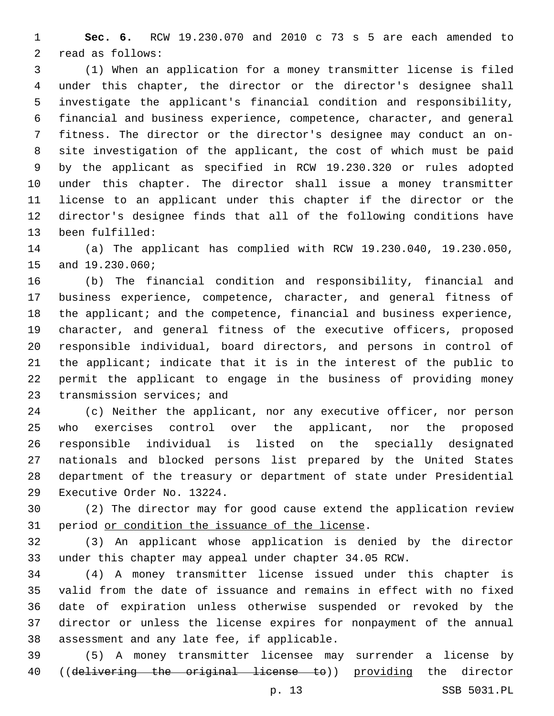**Sec. 6.** RCW 19.230.070 and 2010 c 73 s 5 are each amended to 2 read as follows:

 (1) When an application for a money transmitter license is filed under this chapter, the director or the director's designee shall investigate the applicant's financial condition and responsibility, financial and business experience, competence, character, and general fitness. The director or the director's designee may conduct an on- site investigation of the applicant, the cost of which must be paid by the applicant as specified in RCW 19.230.320 or rules adopted under this chapter. The director shall issue a money transmitter license to an applicant under this chapter if the director or the director's designee finds that all of the following conditions have 13 been fulfilled:

 (a) The applicant has complied with RCW 19.230.040, 19.230.050, 15 and 19.230.060;

 (b) The financial condition and responsibility, financial and business experience, competence, character, and general fitness of 18 the applicant; and the competence, financial and business experience, character, and general fitness of the executive officers, proposed responsible individual, board directors, and persons in control of the applicant; indicate that it is in the interest of the public to permit the applicant to engage in the business of providing money 23 transmission services; and

 (c) Neither the applicant, nor any executive officer, nor person who exercises control over the applicant, nor the proposed responsible individual is listed on the specially designated nationals and blocked persons list prepared by the United States department of the treasury or department of state under Presidential 29 Executive Order No. 13224.

 (2) The director may for good cause extend the application review 31 period or condition the issuance of the license.

 (3) An applicant whose application is denied by the director under this chapter may appeal under chapter 34.05 RCW.

 (4) A money transmitter license issued under this chapter is valid from the date of issuance and remains in effect with no fixed date of expiration unless otherwise suspended or revoked by the director or unless the license expires for nonpayment of the annual 38 assessment and any late fee, if applicable.

 (5) A money transmitter licensee may surrender a license by 40 ((delivering the original license to)) providing the director

p. 13 SSB 5031.PL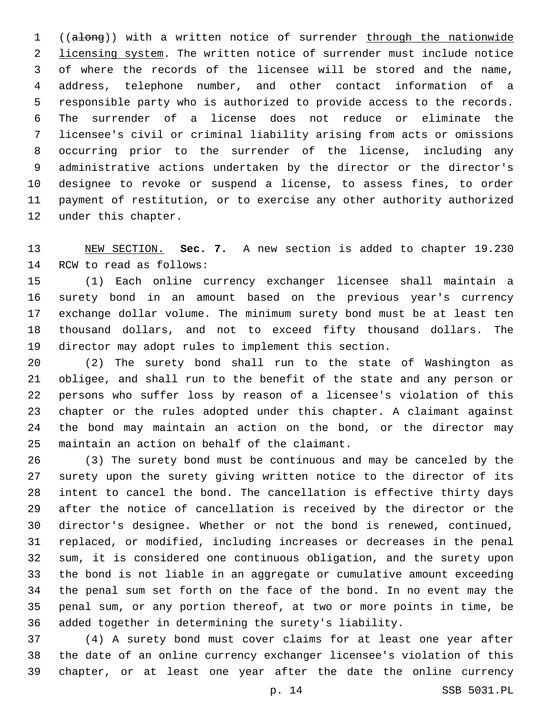((along)) with a written notice of surrender through the nationwide 2 licensing system. The written notice of surrender must include notice of where the records of the licensee will be stored and the name, address, telephone number, and other contact information of a responsible party who is authorized to provide access to the records. The surrender of a license does not reduce or eliminate the licensee's civil or criminal liability arising from acts or omissions occurring prior to the surrender of the license, including any administrative actions undertaken by the director or the director's designee to revoke or suspend a license, to assess fines, to order payment of restitution, or to exercise any other authority authorized 12 under this chapter.

 NEW SECTION. **Sec. 7.** A new section is added to chapter 19.230 14 RCW to read as follows:

 (1) Each online currency exchanger licensee shall maintain a surety bond in an amount based on the previous year's currency exchange dollar volume. The minimum surety bond must be at least ten thousand dollars, and not to exceed fifty thousand dollars. The director may adopt rules to implement this section.

 (2) The surety bond shall run to the state of Washington as obligee, and shall run to the benefit of the state and any person or persons who suffer loss by reason of a licensee's violation of this chapter or the rules adopted under this chapter. A claimant against the bond may maintain an action on the bond, or the director may 25 maintain an action on behalf of the claimant.

 (3) The surety bond must be continuous and may be canceled by the surety upon the surety giving written notice to the director of its intent to cancel the bond. The cancellation is effective thirty days after the notice of cancellation is received by the director or the director's designee. Whether or not the bond is renewed, continued, replaced, or modified, including increases or decreases in the penal sum, it is considered one continuous obligation, and the surety upon the bond is not liable in an aggregate or cumulative amount exceeding the penal sum set forth on the face of the bond. In no event may the penal sum, or any portion thereof, at two or more points in time, be added together in determining the surety's liability.

 (4) A surety bond must cover claims for at least one year after the date of an online currency exchanger licensee's violation of this chapter, or at least one year after the date the online currency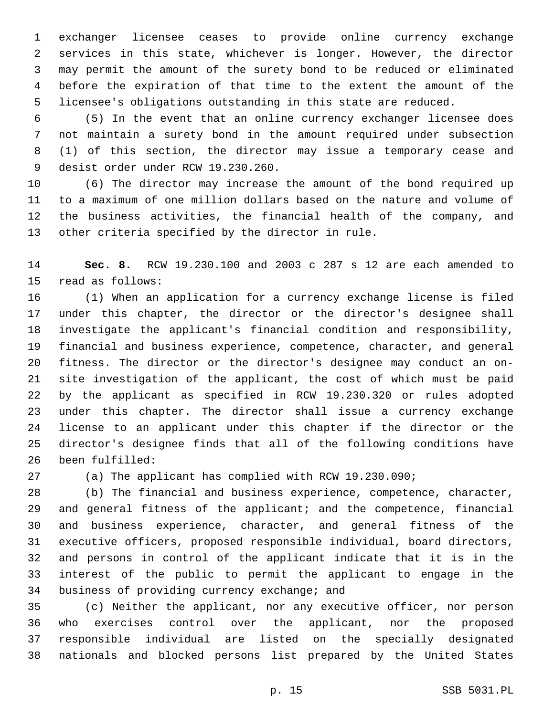exchanger licensee ceases to provide online currency exchange services in this state, whichever is longer. However, the director may permit the amount of the surety bond to be reduced or eliminated before the expiration of that time to the extent the amount of the licensee's obligations outstanding in this state are reduced.

 (5) In the event that an online currency exchanger licensee does not maintain a surety bond in the amount required under subsection (1) of this section, the director may issue a temporary cease and 9 desist order under RCW 19.230.260.

 (6) The director may increase the amount of the bond required up to a maximum of one million dollars based on the nature and volume of the business activities, the financial health of the company, and 13 other criteria specified by the director in rule.

 **Sec. 8.** RCW 19.230.100 and 2003 c 287 s 12 are each amended to 15 read as follows:

 (1) When an application for a currency exchange license is filed under this chapter, the director or the director's designee shall investigate the applicant's financial condition and responsibility, financial and business experience, competence, character, and general fitness. The director or the director's designee may conduct an on- site investigation of the applicant, the cost of which must be paid by the applicant as specified in RCW 19.230.320 or rules adopted under this chapter. The director shall issue a currency exchange license to an applicant under this chapter if the director or the director's designee finds that all of the following conditions have 26 been fulfilled:

(a) The applicant has complied with RCW 19.230.090;

 (b) The financial and business experience, competence, character, and general fitness of the applicant; and the competence, financial and business experience, character, and general fitness of the executive officers, proposed responsible individual, board directors, and persons in control of the applicant indicate that it is in the interest of the public to permit the applicant to engage in the 34 business of providing currency exchange; and

 (c) Neither the applicant, nor any executive officer, nor person who exercises control over the applicant, nor the proposed responsible individual are listed on the specially designated nationals and blocked persons list prepared by the United States

p. 15 SSB 5031.PL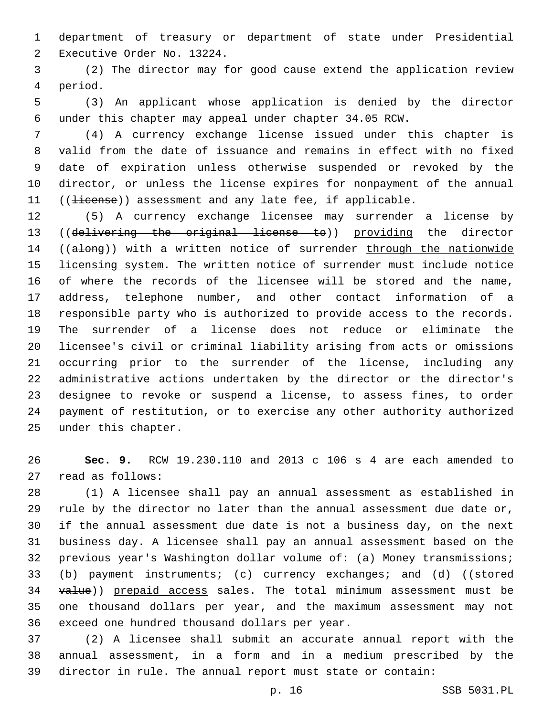department of treasury or department of state under Presidential 2 Executive Order No. 13224.

 (2) The director may for good cause extend the application review 4 period.

 (3) An applicant whose application is denied by the director under this chapter may appeal under chapter 34.05 RCW.

 (4) A currency exchange license issued under this chapter is valid from the date of issuance and remains in effect with no fixed date of expiration unless otherwise suspended or revoked by the director, or unless the license expires for nonpayment of the annual 11 ((Hicense)) assessment and any late fee, if applicable.

 (5) A currency exchange licensee may surrender a license by ((delivering the original license to)) providing the director 14 ((along)) with a written notice of surrender through the nationwide licensing system. The written notice of surrender must include notice of where the records of the licensee will be stored and the name, address, telephone number, and other contact information of a responsible party who is authorized to provide access to the records. The surrender of a license does not reduce or eliminate the licensee's civil or criminal liability arising from acts or omissions occurring prior to the surrender of the license, including any administrative actions undertaken by the director or the director's designee to revoke or suspend a license, to assess fines, to order payment of restitution, or to exercise any other authority authorized 25 under this chapter.

 **Sec. 9.** RCW 19.230.110 and 2013 c 106 s 4 are each amended to 27 read as follows:

 (1) A licensee shall pay an annual assessment as established in rule by the director no later than the annual assessment due date or, if the annual assessment due date is not a business day, on the next business day. A licensee shall pay an annual assessment based on the previous year's Washington dollar volume of: (a) Money transmissions; 33 (b) payment instruments; (c) currency exchanges; and (d) ((stored 34 value)) prepaid access sales. The total minimum assessment must be one thousand dollars per year, and the maximum assessment may not 36 exceed one hundred thousand dollars per year.

 (2) A licensee shall submit an accurate annual report with the annual assessment, in a form and in a medium prescribed by the director in rule. The annual report must state or contain:

p. 16 SSB 5031.PL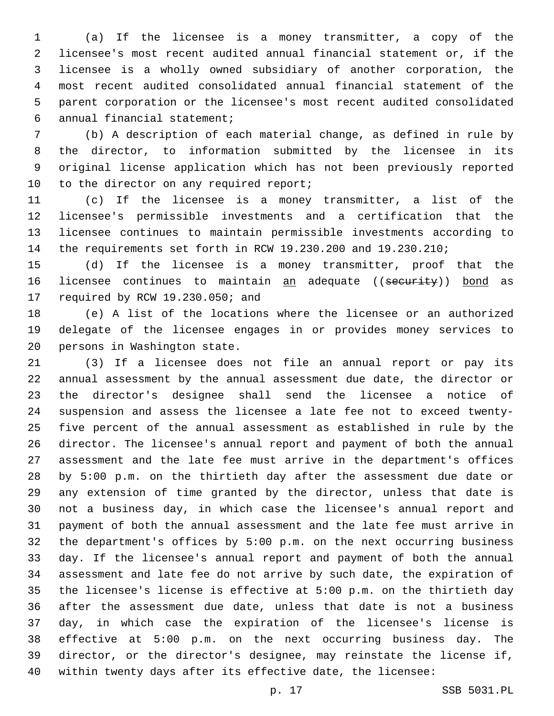(a) If the licensee is a money transmitter, a copy of the licensee's most recent audited annual financial statement or, if the licensee is a wholly owned subsidiary of another corporation, the most recent audited consolidated annual financial statement of the parent corporation or the licensee's most recent audited consolidated annual financial statement;6

 (b) A description of each material change, as defined in rule by the director, to information submitted by the licensee in its original license application which has not been previously reported 10 to the director on any required report;

 (c) If the licensee is a money transmitter, a list of the licensee's permissible investments and a certification that the licensee continues to maintain permissible investments according to the requirements set forth in RCW 19.230.200 and 19.230.210;

 (d) If the licensee is a money transmitter, proof that the 16 licensee continues to maintain an adequate ((security)) bond as 17 required by RCW 19.230.050; and

 (e) A list of the locations where the licensee or an authorized delegate of the licensee engages in or provides money services to 20 persons in Washington state.

 (3) If a licensee does not file an annual report or pay its annual assessment by the annual assessment due date, the director or the director's designee shall send the licensee a notice of suspension and assess the licensee a late fee not to exceed twenty- five percent of the annual assessment as established in rule by the director. The licensee's annual report and payment of both the annual assessment and the late fee must arrive in the department's offices by 5:00 p.m. on the thirtieth day after the assessment due date or any extension of time granted by the director, unless that date is not a business day, in which case the licensee's annual report and payment of both the annual assessment and the late fee must arrive in the department's offices by 5:00 p.m. on the next occurring business day. If the licensee's annual report and payment of both the annual assessment and late fee do not arrive by such date, the expiration of the licensee's license is effective at 5:00 p.m. on the thirtieth day after the assessment due date, unless that date is not a business day, in which case the expiration of the licensee's license is effective at 5:00 p.m. on the next occurring business day. The director, or the director's designee, may reinstate the license if, within twenty days after its effective date, the licensee: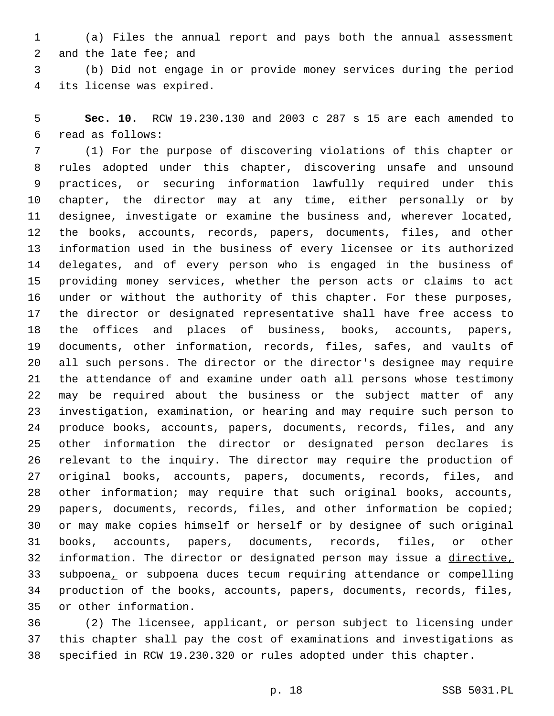(a) Files the annual report and pays both the annual assessment 2 and the late fee; and

 (b) Did not engage in or provide money services during the period 4 its license was expired.

 **Sec. 10.** RCW 19.230.130 and 2003 c 287 s 15 are each amended to read as follows:6

 (1) For the purpose of discovering violations of this chapter or rules adopted under this chapter, discovering unsafe and unsound practices, or securing information lawfully required under this chapter, the director may at any time, either personally or by designee, investigate or examine the business and, wherever located, the books, accounts, records, papers, documents, files, and other information used in the business of every licensee or its authorized delegates, and of every person who is engaged in the business of providing money services, whether the person acts or claims to act under or without the authority of this chapter. For these purposes, the director or designated representative shall have free access to the offices and places of business, books, accounts, papers, documents, other information, records, files, safes, and vaults of all such persons. The director or the director's designee may require the attendance of and examine under oath all persons whose testimony may be required about the business or the subject matter of any investigation, examination, or hearing and may require such person to produce books, accounts, papers, documents, records, files, and any other information the director or designated person declares is relevant to the inquiry. The director may require the production of original books, accounts, papers, documents, records, files, and other information; may require that such original books, accounts, papers, documents, records, files, and other information be copied; or may make copies himself or herself or by designee of such original books, accounts, papers, documents, records, files, or other information. The director or designated person may issue a directive, subpoena, or subpoena duces tecum requiring attendance or compelling production of the books, accounts, papers, documents, records, files, 35 or other information.

 (2) The licensee, applicant, or person subject to licensing under this chapter shall pay the cost of examinations and investigations as specified in RCW 19.230.320 or rules adopted under this chapter.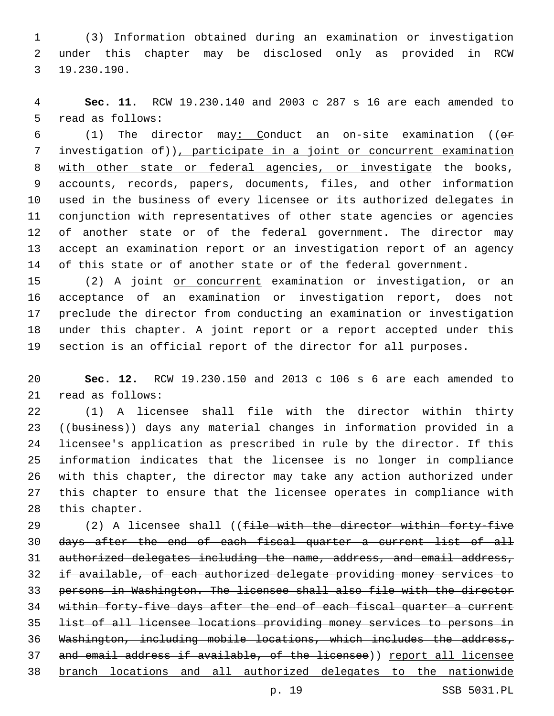(3) Information obtained during an examination or investigation under this chapter may be disclosed only as provided in RCW 19.230.190.3

 **Sec. 11.** RCW 19.230.140 and 2003 c 287 s 16 are each amended to 5 read as follows:

 (1) The director may: Conduct an on-site examination ((or investigation of)), participate in a joint or concurrent examination with other state or federal agencies, or investigate the books, accounts, records, papers, documents, files, and other information used in the business of every licensee or its authorized delegates in conjunction with representatives of other state agencies or agencies of another state or of the federal government. The director may accept an examination report or an investigation report of an agency of this state or of another state or of the federal government.

15 (2) A joint or concurrent examination or investigation, or an acceptance of an examination or investigation report, does not preclude the director from conducting an examination or investigation under this chapter. A joint report or a report accepted under this section is an official report of the director for all purposes.

 **Sec. 12.** RCW 19.230.150 and 2013 c 106 s 6 are each amended to 21 read as follows:

 (1) A licensee shall file with the director within thirty 23 ((business)) days any material changes in information provided in a licensee's application as prescribed in rule by the director. If this information indicates that the licensee is no longer in compliance with this chapter, the director may take any action authorized under this chapter to ensure that the licensee operates in compliance with 28 this chapter.

29 (2) A licensee shall ((file with the director within forty-five days after the end of each fiscal quarter a current list of all authorized delegates including the name, address, and email address, if available, of each authorized delegate providing money services to persons in Washington. The licensee shall also file with the director 34 within forty-five days after the end of each fiscal quarter a current list of all licensee locations providing money services to persons in Washington, including mobile locations, which includes the address, 37 and email address if available, of the licensee)) report all licensee branch locations and all authorized delegates to the nationwide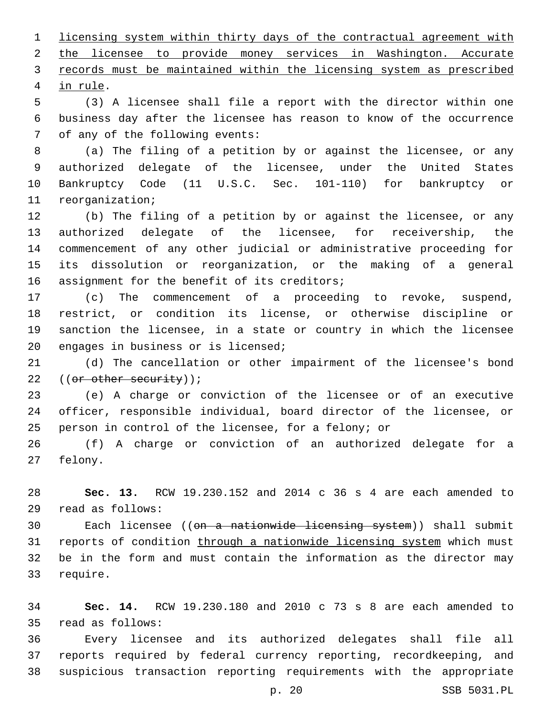licensing system within thirty days of the contractual agreement with the licensee to provide money services in Washington. Accurate records must be maintained within the licensing system as prescribed 4 in rule.

 (3) A licensee shall file a report with the director within one business day after the licensee has reason to know of the occurrence 7 of any of the following events:

 (a) The filing of a petition by or against the licensee, or any authorized delegate of the licensee, under the United States Bankruptcy Code (11 U.S.C. Sec. 101-110) for bankruptcy or 11 reorganization;

 (b) The filing of a petition by or against the licensee, or any authorized delegate of the licensee, for receivership, the commencement of any other judicial or administrative proceeding for its dissolution or reorganization, or the making of a general 16 assignment for the benefit of its creditors;

 (c) The commencement of a proceeding to revoke, suspend, restrict, or condition its license, or otherwise discipline or sanction the licensee, in a state or country in which the licensee 20 engages in business or is licensed;

 (d) The cancellation or other impairment of the licensee's bond 22 ((or other security));

 (e) A charge or conviction of the licensee or of an executive officer, responsible individual, board director of the licensee, or person in control of the licensee, for a felony; or

 (f) A charge or conviction of an authorized delegate for a 27 felony.

 **Sec. 13.** RCW 19.230.152 and 2014 c 36 s 4 are each amended to read as follows:29

30 Each licensee ((<del>on a nationwide licensing system</del>)) shall submit 31 reports of condition through a nationwide licensing system which must be in the form and must contain the information as the director may 33 require.

 **Sec. 14.** RCW 19.230.180 and 2010 c 73 s 8 are each amended to read as follows:35

 Every licensee and its authorized delegates shall file all reports required by federal currency reporting, recordkeeping, and suspicious transaction reporting requirements with the appropriate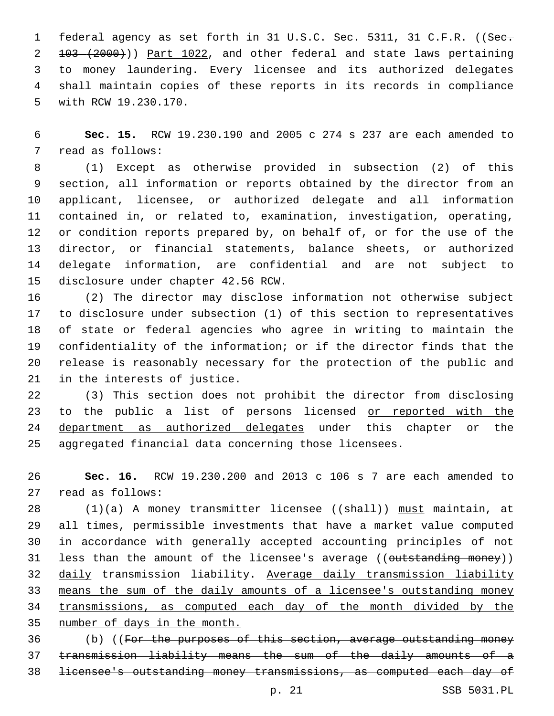1 federal agency as set forth in 31 U.S.C. Sec. 5311, 31 C.F.R. ((See. 103 (2000))) Part 1022, and other federal and state laws pertaining to money laundering. Every licensee and its authorized delegates shall maintain copies of these reports in its records in compliance 5 with RCW 19.230.170.

 **Sec. 15.** RCW 19.230.190 and 2005 c 274 s 237 are each amended to 7 read as follows:

 (1) Except as otherwise provided in subsection (2) of this section, all information or reports obtained by the director from an applicant, licensee, or authorized delegate and all information contained in, or related to, examination, investigation, operating, or condition reports prepared by, on behalf of, or for the use of the director, or financial statements, balance sheets, or authorized delegate information, are confidential and are not subject to 15 disclosure under chapter 42.56 RCW.

 (2) The director may disclose information not otherwise subject to disclosure under subsection (1) of this section to representatives of state or federal agencies who agree in writing to maintain the confidentiality of the information; or if the director finds that the release is reasonably necessary for the protection of the public and 21 in the interests of justice.

 (3) This section does not prohibit the director from disclosing 23 to the public a list of persons licensed or reported with the 24 department as authorized delegates under this chapter or the aggregated financial data concerning those licensees.

 **Sec. 16.** RCW 19.230.200 and 2013 c 106 s 7 are each amended to 27 read as follows:

28 (1)(a) A money transmitter licensee ((shall)) must maintain, at all times, permissible investments that have a market value computed in accordance with generally accepted accounting principles of not 31 less than the amount of the licensee's average ((outstanding money)) daily transmission liability. Average daily transmission liability means the sum of the daily amounts of a licensee's outstanding money transmissions, as computed each day of the month divided by the number of days in the month.

 (b) ((For the purposes of this section, average outstanding money transmission liability means the sum of the daily amounts of a licensee's outstanding money transmissions, as computed each day of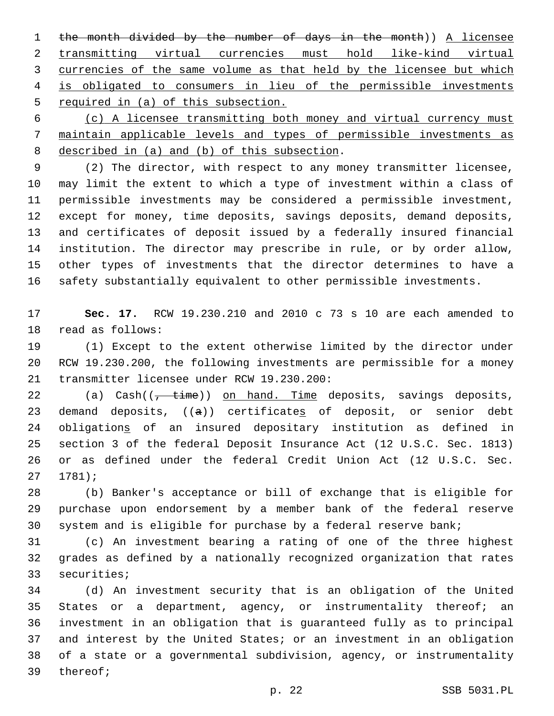the month divided by the number of days in the month)) A licensee transmitting virtual currencies must hold like-kind virtual 3 currencies of the same volume as that held by the licensee but which is obligated to consumers in lieu of the permissible investments required in (a) of this subsection.

 (c) A licensee transmitting both money and virtual currency must maintain applicable levels and types of permissible investments as 8 described in (a) and (b) of this subsection.

 (2) The director, with respect to any money transmitter licensee, may limit the extent to which a type of investment within a class of permissible investments may be considered a permissible investment, except for money, time deposits, savings deposits, demand deposits, and certificates of deposit issued by a federally insured financial institution. The director may prescribe in rule, or by order allow, other types of investments that the director determines to have a safety substantially equivalent to other permissible investments.

 **Sec. 17.** RCW 19.230.210 and 2010 c 73 s 10 are each amended to 18 read as follows:

 (1) Except to the extent otherwise limited by the director under RCW 19.230.200, the following investments are permissible for a money 21 transmitter licensee under RCW 19.230.200:

22 (a) Cash((<del>, time</del>)) on hand. Time deposits, savings deposits, 23 demand deposits,  $((a))$  certificates of deposit, or senior debt obligations of an insured depositary institution as defined in section 3 of the federal Deposit Insurance Act (12 U.S.C. Sec. 1813) or as defined under the federal Credit Union Act (12 U.S.C. Sec.  $27 1781$ 

 (b) Banker's acceptance or bill of exchange that is eligible for purchase upon endorsement by a member bank of the federal reserve system and is eligible for purchase by a federal reserve bank;

 (c) An investment bearing a rating of one of the three highest grades as defined by a nationally recognized organization that rates 33 securities;

 (d) An investment security that is an obligation of the United 35 States or a department, agency, or instrumentality thereof; an investment in an obligation that is guaranteed fully as to principal and interest by the United States; or an investment in an obligation of a state or a governmental subdivision, agency, or instrumentality 39 thereof;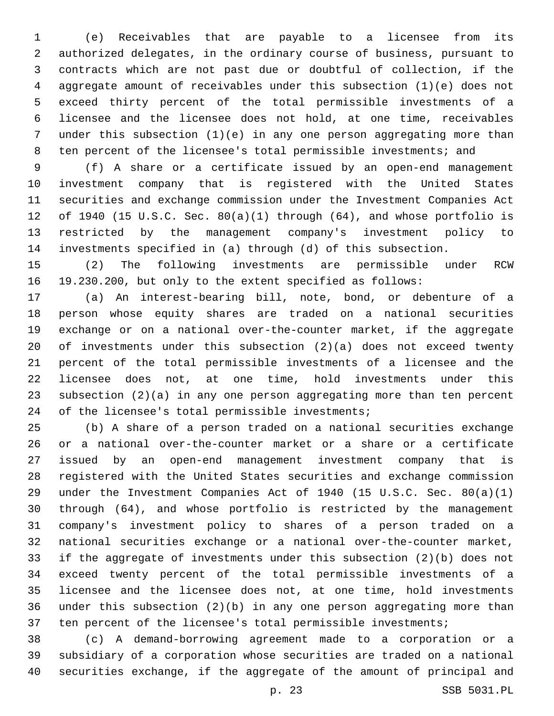(e) Receivables that are payable to a licensee from its authorized delegates, in the ordinary course of business, pursuant to contracts which are not past due or doubtful of collection, if the aggregate amount of receivables under this subsection (1)(e) does not exceed thirty percent of the total permissible investments of a licensee and the licensee does not hold, at one time, receivables under this subsection (1)(e) in any one person aggregating more than ten percent of the licensee's total permissible investments; and

 (f) A share or a certificate issued by an open-end management investment company that is registered with the United States securities and exchange commission under the Investment Companies Act of 1940 (15 U.S.C. Sec. 80(a)(1) through (64), and whose portfolio is restricted by the management company's investment policy to investments specified in (a) through (d) of this subsection.

 (2) The following investments are permissible under RCW 19.230.200, but only to the extent specified as follows:

 (a) An interest-bearing bill, note, bond, or debenture of a person whose equity shares are traded on a national securities exchange or on a national over-the-counter market, if the aggregate of investments under this subsection (2)(a) does not exceed twenty percent of the total permissible investments of a licensee and the licensee does not, at one time, hold investments under this subsection (2)(a) in any one person aggregating more than ten percent 24 of the licensee's total permissible investments;

 (b) A share of a person traded on a national securities exchange or a national over-the-counter market or a share or a certificate issued by an open-end management investment company that is registered with the United States securities and exchange commission under the Investment Companies Act of 1940 (15 U.S.C. Sec. 80(a)(1) through (64), and whose portfolio is restricted by the management company's investment policy to shares of a person traded on a national securities exchange or a national over-the-counter market, if the aggregate of investments under this subsection (2)(b) does not exceed twenty percent of the total permissible investments of a licensee and the licensee does not, at one time, hold investments under this subsection (2)(b) in any one person aggregating more than ten percent of the licensee's total permissible investments;

 (c) A demand-borrowing agreement made to a corporation or a subsidiary of a corporation whose securities are traded on a national securities exchange, if the aggregate of the amount of principal and

p. 23 SSB 5031.PL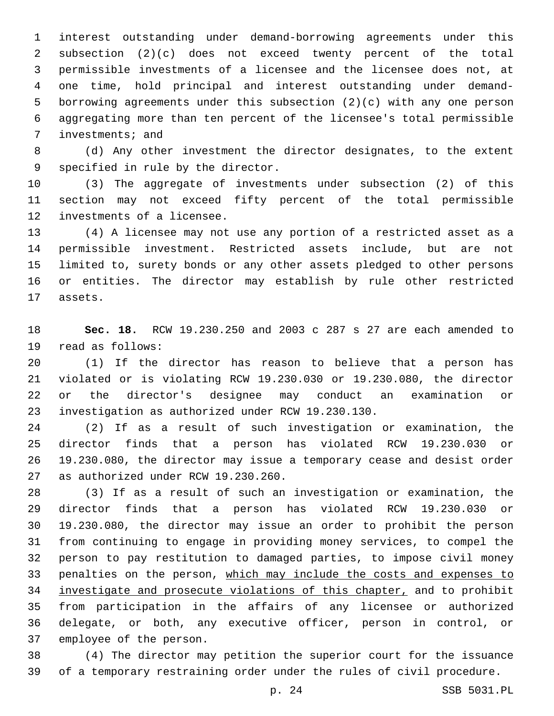interest outstanding under demand-borrowing agreements under this subsection (2)(c) does not exceed twenty percent of the total permissible investments of a licensee and the licensee does not, at one time, hold principal and interest outstanding under demand- borrowing agreements under this subsection (2)(c) with any one person aggregating more than ten percent of the licensee's total permissible 7 investments; and

 (d) Any other investment the director designates, to the extent 9 specified in rule by the director.

 (3) The aggregate of investments under subsection (2) of this section may not exceed fifty percent of the total permissible 12 investments of a licensee.

 (4) A licensee may not use any portion of a restricted asset as a permissible investment. Restricted assets include, but are not limited to, surety bonds or any other assets pledged to other persons or entities. The director may establish by rule other restricted 17 assets.

 **Sec. 18.** RCW 19.230.250 and 2003 c 287 s 27 are each amended to 19 read as follows:

 (1) If the director has reason to believe that a person has violated or is violating RCW 19.230.030 or 19.230.080, the director or the director's designee may conduct an examination or investigation as authorized under RCW 19.230.130.23

 (2) If as a result of such investigation or examination, the director finds that a person has violated RCW 19.230.030 or 19.230.080, the director may issue a temporary cease and desist order 27 as authorized under RCW 19.230.260.

 (3) If as a result of such an investigation or examination, the director finds that a person has violated RCW 19.230.030 or 19.230.080, the director may issue an order to prohibit the person from continuing to engage in providing money services, to compel the person to pay restitution to damaged parties, to impose civil money penalties on the person, which may include the costs and expenses to investigate and prosecute violations of this chapter, and to prohibit from participation in the affairs of any licensee or authorized delegate, or both, any executive officer, person in control, or 37 employee of the person.

 (4) The director may petition the superior court for the issuance of a temporary restraining order under the rules of civil procedure.

p. 24 SSB 5031.PL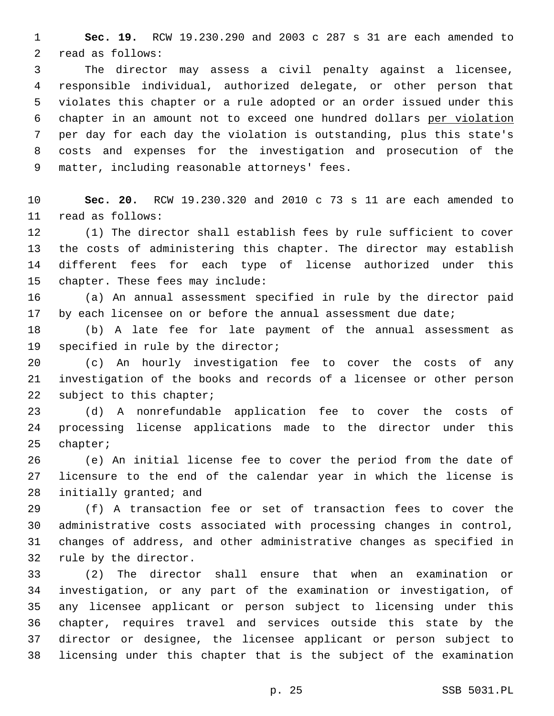**Sec. 19.** RCW 19.230.290 and 2003 c 287 s 31 are each amended to 2 read as follows:

 The director may assess a civil penalty against a licensee, responsible individual, authorized delegate, or other person that violates this chapter or a rule adopted or an order issued under this chapter in an amount not to exceed one hundred dollars per violation per day for each day the violation is outstanding, plus this state's costs and expenses for the investigation and prosecution of the 9 matter, including reasonable attorneys' fees.

 **Sec. 20.** RCW 19.230.320 and 2010 c 73 s 11 are each amended to read as follows:11

 (1) The director shall establish fees by rule sufficient to cover the costs of administering this chapter. The director may establish different fees for each type of license authorized under this 15 chapter. These fees may include:

 (a) An annual assessment specified in rule by the director paid 17 by each licensee on or before the annual assessment due date;

 (b) A late fee for late payment of the annual assessment as 19 specified in rule by the director;

 (c) An hourly investigation fee to cover the costs of any investigation of the books and records of a licensee or other person 22 subject to this chapter;

 (d) A nonrefundable application fee to cover the costs of processing license applications made to the director under this 25 chapter;

 (e) An initial license fee to cover the period from the date of licensure to the end of the calendar year in which the license is 28 initially granted; and

 (f) A transaction fee or set of transaction fees to cover the administrative costs associated with processing changes in control, changes of address, and other administrative changes as specified in 32 rule by the director.

 (2) The director shall ensure that when an examination or investigation, or any part of the examination or investigation, of any licensee applicant or person subject to licensing under this chapter, requires travel and services outside this state by the director or designee, the licensee applicant or person subject to licensing under this chapter that is the subject of the examination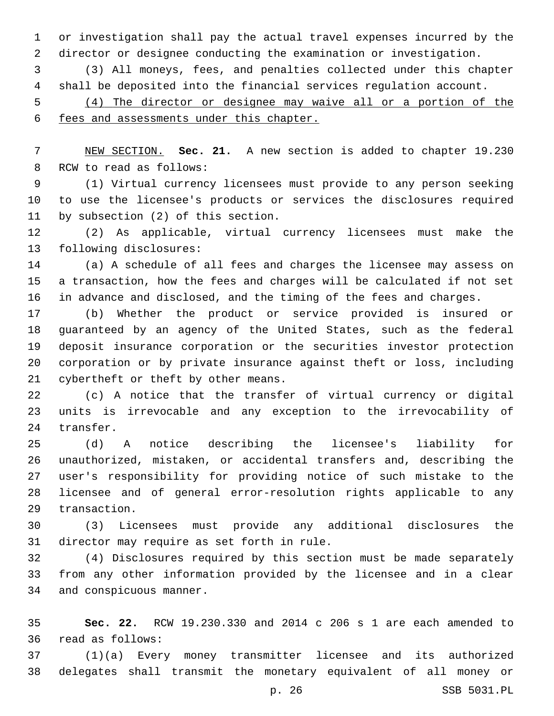or investigation shall pay the actual travel expenses incurred by the director or designee conducting the examination or investigation.

 (3) All moneys, fees, and penalties collected under this chapter shall be deposited into the financial services regulation account.

 (4) The director or designee may waive all or a portion of the fees and assessments under this chapter.

 NEW SECTION. **Sec. 21.** A new section is added to chapter 19.230 8 RCW to read as follows:

 (1) Virtual currency licensees must provide to any person seeking to use the licensee's products or services the disclosures required 11 by subsection (2) of this section.

 (2) As applicable, virtual currency licensees must make the 13 following disclosures:

 (a) A schedule of all fees and charges the licensee may assess on a transaction, how the fees and charges will be calculated if not set in advance and disclosed, and the timing of the fees and charges.

 (b) Whether the product or service provided is insured or guaranteed by an agency of the United States, such as the federal deposit insurance corporation or the securities investor protection corporation or by private insurance against theft or loss, including 21 cybertheft or theft by other means.

 (c) A notice that the transfer of virtual currency or digital units is irrevocable and any exception to the irrevocability of 24 transfer.

 (d) A notice describing the licensee's liability for unauthorized, mistaken, or accidental transfers and, describing the user's responsibility for providing notice of such mistake to the licensee and of general error-resolution rights applicable to any 29 transaction.

 (3) Licensees must provide any additional disclosures the 31 director may require as set forth in rule.

 (4) Disclosures required by this section must be made separately from any other information provided by the licensee and in a clear 34 and conspicuous manner.

 **Sec. 22.** RCW 19.230.330 and 2014 c 206 s 1 are each amended to read as follows:36

 (1)(a) Every money transmitter licensee and its authorized delegates shall transmit the monetary equivalent of all money or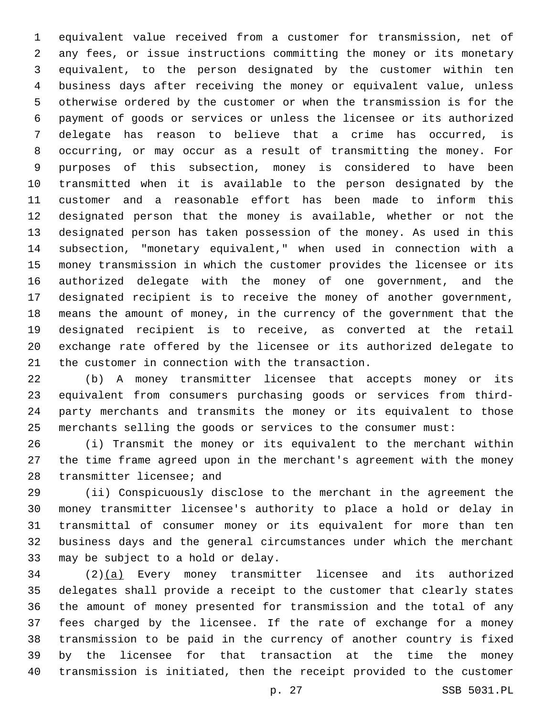equivalent value received from a customer for transmission, net of any fees, or issue instructions committing the money or its monetary equivalent, to the person designated by the customer within ten business days after receiving the money or equivalent value, unless otherwise ordered by the customer or when the transmission is for the payment of goods or services or unless the licensee or its authorized delegate has reason to believe that a crime has occurred, is occurring, or may occur as a result of transmitting the money. For purposes of this subsection, money is considered to have been transmitted when it is available to the person designated by the customer and a reasonable effort has been made to inform this designated person that the money is available, whether or not the designated person has taken possession of the money. As used in this subsection, "monetary equivalent," when used in connection with a money transmission in which the customer provides the licensee or its authorized delegate with the money of one government, and the designated recipient is to receive the money of another government, means the amount of money, in the currency of the government that the designated recipient is to receive, as converted at the retail exchange rate offered by the licensee or its authorized delegate to 21 the customer in connection with the transaction.

 (b) A money transmitter licensee that accepts money or its equivalent from consumers purchasing goods or services from third- party merchants and transmits the money or its equivalent to those merchants selling the goods or services to the consumer must:

 (i) Transmit the money or its equivalent to the merchant within the time frame agreed upon in the merchant's agreement with the money 28 transmitter licensee; and

 (ii) Conspicuously disclose to the merchant in the agreement the money transmitter licensee's authority to place a hold or delay in transmittal of consumer money or its equivalent for more than ten business days and the general circumstances under which the merchant 33 may be subject to a hold or delay.

 (2)(a) Every money transmitter licensee and its authorized delegates shall provide a receipt to the customer that clearly states the amount of money presented for transmission and the total of any fees charged by the licensee. If the rate of exchange for a money transmission to be paid in the currency of another country is fixed by the licensee for that transaction at the time the money transmission is initiated, then the receipt provided to the customer